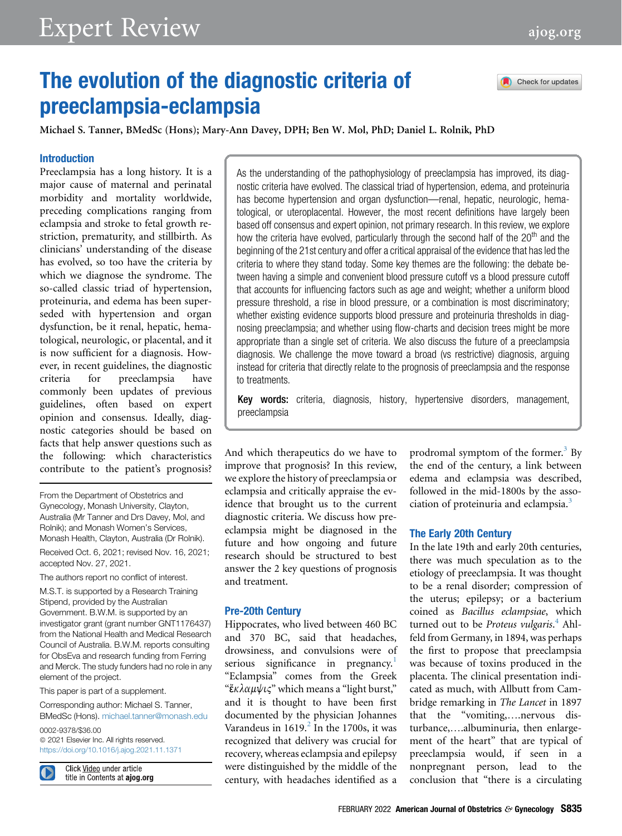# The evolution of the diagnostic criteria of preeclampsia-eclampsia

Check for updates

Michael S. Tanner, BMedSc (Hons); Mary-Ann Davey, DPH; Ben W. Mol, PhD; Daniel L. Rolnik, PhD

# Introduction

Preeclampsia has a long history. It is a major cause of maternal and perinatal morbidity and mortality worldwide, preceding complications ranging from eclampsia and stroke to fetal growth restriction, prematurity, and stillbirth. As clinicians' understanding of the disease has evolved, so too have the criteria by which we diagnose the syndrome. The so-called classic triad of hypertension, proteinuria, and edema has been superseded with hypertension and organ dysfunction, be it renal, hepatic, hematological, neurologic, or placental, and it is now sufficient for a diagnosis. However, in recent guidelines, the diagnostic criteria for preeclampsia have commonly been updates of previous guidelines, often based on expert opinion and consensus. Ideally, diagnostic categories should be based on facts that help answer questions such as the following: which characteristics contribute to the patient's prognosis?

From the Department of Obstetrics and Gynecology, Monash University, Clayton, Australia (Mr Tanner and Drs Davey, Mol, and Rolnik); and Monash Women's Services, Monash Health, Clayton, Australia (Dr Rolnik).

Received Oct. 6, 2021; revised Nov. 16, 2021; accepted Nov. 27, 2021.

The authors report no conflict of interest.

M.S.T. is supported by a Research Training Stipend, provided by the Australian Government. B.W.M. is supported by an investigator grant (grant number GNT1176437) from the National Health and Medical Research Council of Australia. B.W.M. reports consulting for ObsEva and research funding from Ferring and Merck. The study funders had no role in any element of the project.

This paper is part of a supplement.

Corresponding author: Michael S. Tanner, BMedSc (Hons). [michael.tanner@monash.edu](mailto:michael.tanner@monash.edu)

0002-9378/\$36.00  $©$  2021 Elsevier Inc. All rights reserved. <https://doi.org/10.1016/j.ajog.2021.11.1371>

Click Video under article title in Contents at ajog.org As the understanding of the pathophysiology of preeclampsia has improved, its diagnostic criteria have evolved. The classical triad of hypertension, edema, and proteinuria has become hypertension and organ dysfunction—renal, hepatic, neurologic, hematological, or uteroplacental. However, the most recent definitions have largely been based off consensus and expert opinion, not primary research. In this review, we explore how the criteria have evolved, particularly through the second half of the  $20<sup>th</sup>$  and the beginning of the 21st century and offer a critical appraisal of the evidence that has led the criteria to where they stand today. Some key themes are the following: the debate between having a simple and convenient blood pressure cutoff vs a blood pressure cutoff that accounts for influencing factors such as age and weight; whether a uniform blood pressure threshold, a rise in blood pressure, or a combination is most discriminatory; whether existing evidence supports blood pressure and proteinuria thresholds in diagnosing preeclampsia; and whether using flow-charts and decision trees might be more appropriate than a single set of criteria. We also discuss the future of a preeclampsia diagnosis. We challenge the move toward a broad (vs restrictive) diagnosis, arguing instead for criteria that directly relate to the prognosis of preeclampsia and the response to treatments.

Key words: criteria, diagnosis, history, hypertensive disorders, management, preeclampsia

And which therapeutics do we have to improve that prognosis? In this review, we explore the history of preeclampsia or eclampsia and critically appraise the evidence that brought us to the current diagnostic criteria. We discuss how preeclampsia might be diagnosed in the future and how ongoing and future research should be structured to best answer the 2 key questions of prognosis and treatment.

# Pre-20th Century

Hippocrates, who lived between 460 BC and 370 BC, said that headaches, drowsiness, and convulsions were of serious significance in pregnancy.<sup>[1](#page-7-0)</sup> "Eclampsia" comes from the Greek "<sup>ε</sup>κλαμ $\psi$ ις" which means a "light burst," and it is thought to have been first documented by the physician Johannes Varandeus in  $1619<sup>2</sup>$  $1619<sup>2</sup>$  $1619<sup>2</sup>$  In the 1700s, it was recognized that delivery was crucial for recovery, whereas eclampsia and epilepsy were distinguished by the middle of the century, with headaches identified as a

prodromal symptom of the former. $3$  By the end of the century, a link between edema and eclampsia was described, followed in the mid-1800s by the asso-ciation of proteinuria and eclampsia.<sup>[3](#page-7-2)</sup>

# The Early 20th Century

In the late 19th and early 20th centuries, there was much speculation as to the etiology of preeclampsia. It was thought to be a renal disorder; compression of the uterus; epilepsy; or a bacterium coined as Bacillus eclampsiae, which turned out to be Proteus vulgaris.<sup>[4](#page-7-3)</sup> Ahlfeld from Germany, in 1894, was perhaps the first to propose that preeclampsia was because of toxins produced in the placenta. The clinical presentation indicated as much, with Allbutt from Cambridge remarking in The Lancet in 1897 that the "vomiting,....nervous disturbance,....albuminuria, then enlargement of the heart" that are typical of preeclampsia would, if seen in a nonpregnant person, lead to the conclusion that "there is a circulating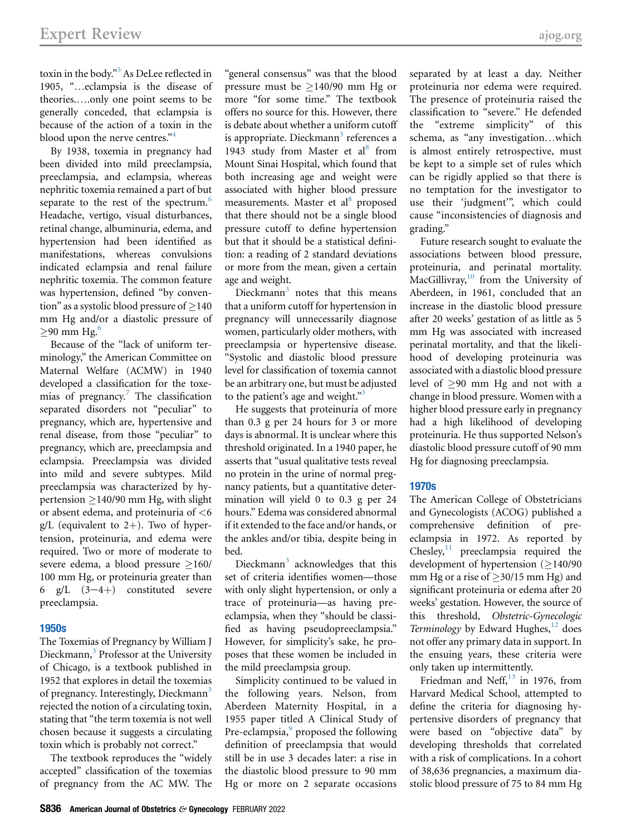toxin in the body." [5](#page-7-4) As DeLee reflected in 1905, "...eclampsia is the disease of theories.....only one point seems to be generally conceded, that eclampsia is because of the action of a toxin in the blood upon the nerve centres."<sup>[4](#page-7-3)</sup>

By 1938, toxemia in pregnancy had been divided into mild preeclampsia, preeclampsia, and eclampsia, whereas nephritic toxemia remained a part of but separate to the rest of the spectrum.<sup>[6](#page-7-5)</sup> Headache, vertigo, visual disturbances, retinal change, albuminuria, edema, and hypertension had been identified as manifestations, whereas convulsions indicated eclampsia and renal failure nephritic toxemia. The common feature was hypertension, defined "by convention" as a systolic blood pressure of  $>$ 140 mm Hg and/or a diastolic pressure of  $>90$  mm Hg. $^6$ 

Because of the "lack of uniform terminology," the American Committee on Maternal Welfare (ACMW) in 1940 developed a classification for the toxemias of pregnancy. $7$  The classification separated disorders not "peculiar" to pregnancy, which are, hypertensive and renal disease, from those "peculiar" to pregnancy, which are, preeclampsia and eclampsia. Preeclampsia was divided into mild and severe subtypes. Mild preeclampsia was characterized by hypertension  $\geq$  140/90 mm Hg, with slight or absent edema, and proteinuria of <6 g/L (equivalent to  $2+$ ). Two of hypertension, proteinuria, and edema were required. Two or more of moderate to severe edema, a blood pressure  $\geq 160/$ 100 mm Hg, or proteinuria greater than 6 g/L  $(3-4+)$  constituted severe preeclampsia.

# 1950s

The Toxemias of Pregnancy by William J Dieckmann,<sup>[3](#page-7-2)</sup> Professor at the University of Chicago, is a textbook published in 1952 that explores in detail the toxemias of pregnancy. Interestingly, Dieckmann<sup>[3](#page-7-2)</sup> rejected the notion of a circulating toxin, stating that "the term toxemia is not well chosen because it suggests a circulating toxin which is probably not correct."

The textbook reproduces the "widely accepted" classification of the toxemias of pregnancy from the AC MW. The

"general consensus" was that the blood pressure must be  $>140/90$  mm Hg or more "for some time." The textbook offers no source for this. However, there is debate about whether a uniform cutoff is appropriate. Dieckmann<sup>[3](#page-7-2)</sup> references a 1943 study from Master et al<sup>[8](#page-7-7)</sup> from Mount Sinai Hospital, which found that both increasing age and weight were associated with higher blood pressure measurements. Master et al<sup>[8](#page-7-7)</sup> proposed that there should not be a single blood pressure cutoff to define hypertension but that it should be a statistical definition: a reading of 2 standard deviations or more from the mean, given a certain age and weight.

Dieckmann $3$  notes that this means that a uniform cutoff for hypertension in pregnancy will unnecessarily diagnose women, particularly older mothers, with preeclampsia or hypertensive disease. "Systolic and diastolic blood pressure level for classification of toxemia cannot be an arbitrary one, but must be adjusted to the patient's age and weight."[3](#page-7-2)

He suggests that proteinuria of more than 0.3 g per 24 hours for 3 or more days is abnormal. It is unclear where this threshold originated. In a 1940 paper, he asserts that "usual qualitative tests reveal no protein in the urine of normal pregnancy patients, but a quantitative determination will yield 0 to 0.3 g per 24 hours." Edema was considered abnormal if it extended to the face and/or hands, or the ankles and/or tibia, despite being in bed.

Dieckmann<sup>[3](#page-7-2)</sup> acknowledges that this set of criteria identifies women—those with only slight hypertension, or only a trace of proteinuria—as having preeclampsia, when they "should be classified as having pseudopreeclampsia." However, for simplicity's sake, he proposes that these women be included in the mild preeclampsia group.

Simplicity continued to be valued in the following years. Nelson, from Aberdeen Maternity Hospital, in a 1955 paper titled A Clinical Study of Pre-eclampsia,<sup>[9](#page-7-8)</sup> proposed the following definition of preeclampsia that would still be in use 3 decades later: a rise in the diastolic blood pressure to 90 mm Hg or more on 2 separate occasions separated by at least a day. Neither proteinuria nor edema were required. The presence of proteinuria raised the classification to "severe." He defended the "extreme simplicity" of this schema, as "any investigation...which is almost entirely retrospective, must be kept to a simple set of rules which can be rigidly applied so that there is no temptation for the investigator to use their 'judgment'", which could cause "inconsistencies of diagnosis and grading."

Future research sought to evaluate the associations between blood pressure, proteinuria, and perinatal mortality.  $MacGillivray, <sup>10</sup>$  $MacGillivray, <sup>10</sup>$  $MacGillivray, <sup>10</sup>$  from the University of Aberdeen, in 1961, concluded that an increase in the diastolic blood pressure after 20 weeks' gestation of as little as 5 mm Hg was associated with increased perinatal mortality, and that the likelihood of developing proteinuria was associated with a diastolic blood pressure level of  $\geq$ 90 mm Hg and not with a change in blood pressure. Women with a higher blood pressure early in pregnancy had a high likelihood of developing proteinuria. He thus supported Nelson's diastolic blood pressure cutoff of 90 mm Hg for diagnosing preeclampsia.

# 1970s

The American College of Obstetricians and Gynecologists (ACOG) published a comprehensive definition of preeclampsia in 1972. As reported by Chesley, $11$  preeclampsia required the development of hypertension  $(≥140/90$ mm Hg or a rise of  $\geq$ 30/15 mm Hg) and significant proteinuria or edema after 20 weeks' gestation. However, the source of this threshold, Obstetric-Gynecologic Terminology by Edward Hughes, $^{12}$  $^{12}$  $^{12}$  does not offer any primary data in support. In the ensuing years, these criteria were only taken up intermittently.

Friedman and Neff, $^{13}$  $^{13}$  $^{13}$  in 1976, from Harvard Medical School, attempted to define the criteria for diagnosing hypertensive disorders of pregnancy that were based on "objective data" by developing thresholds that correlated with a risk of complications. In a cohort of 38,636 pregnancies, a maximum diastolic blood pressure of 75 to 84 mm Hg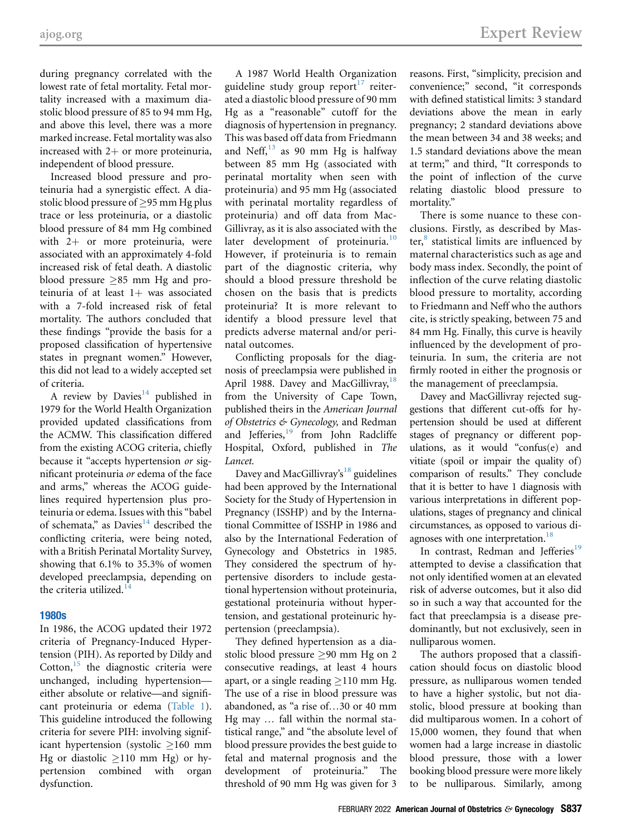during pregnancy correlated with the lowest rate of fetal mortality. Fetal mortality increased with a maximum diastolic blood pressure of 85 to 94 mm Hg, and above this level, there was a more marked increase. Fetal mortality was also increased with  $2+$  or more proteinuria, independent of blood pressure.

Increased blood pressure and proteinuria had a synergistic effect. A diastolic blood pressure of  $\geq$ 95 mm Hg plus trace or less proteinuria, or a diastolic blood pressure of 84 mm Hg combined with  $2+$  or more proteinuria, were associated with an approximately 4-fold increased risk of fetal death. A diastolic blood pressure  $>85$  mm Hg and proteinuria of at least  $1+$  was associated with a 7-fold increased risk of fetal mortality. The authors concluded that these findings "provide the basis for a proposed classification of hypertensive states in pregnant women." However, this did not lead to a widely accepted set of criteria.

A review by Davies<sup>[14](#page-7-13)</sup> published in 1979 for the World Health Organization provided updated classifications from the ACMW. This classification differed from the existing ACOG criteria, chiefly because it "accepts hypertension or significant proteinuria or edema of the face and arms," whereas the ACOG guidelines required hypertension plus proteinuria or edema. Issues with this "babel of schemata," as Davies $14$  described the conflicting criteria, were being noted, with a British Perinatal Mortality Survey, showing that 6.1% to 35.3% of women developed preeclampsia, depending on the criteria utilized. $14$ 

# 1980s

In 1986, the ACOG updated their 1972 criteria of Pregnancy-Induced Hypertension (PIH). As reported by Dildy and Cotton, $15$  the diagnostic criteria were unchanged, including hypertension either absolute or relative—and significant proteinuria or edema ([Table 1](#page-3-0)). This guideline introduced the following criteria for severe PIH: involving significant hypertension (systolic  $\geq$ 160 mm Hg or diastolic  $\geq$ 110 mm Hg) or hypertension combined with organ pertension combined with dysfunction.

A 1987 World Health Organization guideline study group report $17$  reiterated a diastolic blood pressure of 90 mm Hg as a "reasonable" cutoff for the diagnosis of hypertension in pregnancy. This was based off data from Friedmann and Neff, $^{13}$  $^{13}$  $^{13}$  as 90 mm Hg is halfway between 85 mm Hg (associated with perinatal mortality when seen with proteinuria) and 95 mm Hg (associated with perinatal mortality regardless of proteinuria) and off data from Mac-Gillivray, as it is also associated with the later development of proteinuria.<sup>[10](#page-7-9)</sup> However, if proteinuria is to remain part of the diagnostic criteria, why should a blood pressure threshold be chosen on the basis that is predicts proteinuria? It is more relevant to identify a blood pressure level that predicts adverse maternal and/or perinatal outcomes.

Conflicting proposals for the diagnosis of preeclampsia were published in April 1988. Davey and MacGillivray, <sup>[18](#page-8-1)</sup> from the University of Cape Town, published theirs in the American Journal of Obstetrics & Gynecology, and Redman and Jefferies,<sup>[19](#page-8-2)</sup> from John Radcliffe Hospital, Oxford, published in The Lancet.

Davey and MacGillivray's<sup>[18](#page-8-1)</sup> guidelines had been approved by the International Society for the Study of Hypertension in Pregnancy (ISSHP) and by the International Committee of ISSHP in 1986 and also by the International Federation of Gynecology and Obstetrics in 1985. They considered the spectrum of hypertensive disorders to include gestational hypertension without proteinuria, gestational proteinuria without hypertension, and gestational proteinuric hypertension (preeclampsia).

They defined hypertension as a diastolic blood pressure  $\geq 90$  mm Hg on 2 consecutive readings, at least 4 hours apart, or a single reading  $\geq$ 110 mm Hg. The use of a rise in blood pressure was abandoned, as "a rise of...30 or 40 mm Hg may ... fall within the normal statistical range," and "the absolute level of blood pressure provides the best guide to fetal and maternal prognosis and the development of proteinuria." The threshold of 90 mm Hg was given for 3

reasons. First, "simplicity, precision and convenience;" second, "it corresponds with defined statistical limits: 3 standard deviations above the mean in early pregnancy; 2 standard deviations above the mean between 34 and 38 weeks; and 1.5 standard deviations above the mean at term;" and third, "It corresponds to the point of inflection of the curve relating diastolic blood pressure to mortality."

There is some nuance to these conclusions. Firstly, as described by Master, $\frac{8}{3}$  $\frac{8}{3}$  $\frac{8}{3}$  statistical limits are influenced by maternal characteristics such as age and body mass index. Secondly, the point of inflection of the curve relating diastolic blood pressure to mortality, according to Friedmann and Neff who the authors cite, is strictly speaking, between 75 and 84 mm Hg. Finally, this curve is heavily influenced by the development of proteinuria. In sum, the criteria are not firmly rooted in either the prognosis or the management of preeclampsia.

Davey and MacGillivray rejected suggestions that different cut-offs for hypertension should be used at different stages of pregnancy or different populations, as it would "confus(e) and vitiate (spoil or impair the quality of) comparison of results." They conclude that it is better to have 1 diagnosis with various interpretations in different populations, stages of pregnancy and clinical circumstances, as opposed to various di-agnoses with one interpretation.<sup>[18](#page-8-1)</sup>

In contrast, Redman and Jefferies<sup>[19](#page-8-2)</sup> attempted to devise a classification that not only identified women at an elevated risk of adverse outcomes, but it also did so in such a way that accounted for the fact that preeclampsia is a disease predominantly, but not exclusively, seen in nulliparous women.

The authors proposed that a classification should focus on diastolic blood pressure, as nulliparous women tended to have a higher systolic, but not diastolic, blood pressure at booking than did multiparous women. In a cohort of 15,000 women, they found that when women had a large increase in diastolic blood pressure, those with a lower booking blood pressure were more likely to be nulliparous. Similarly, among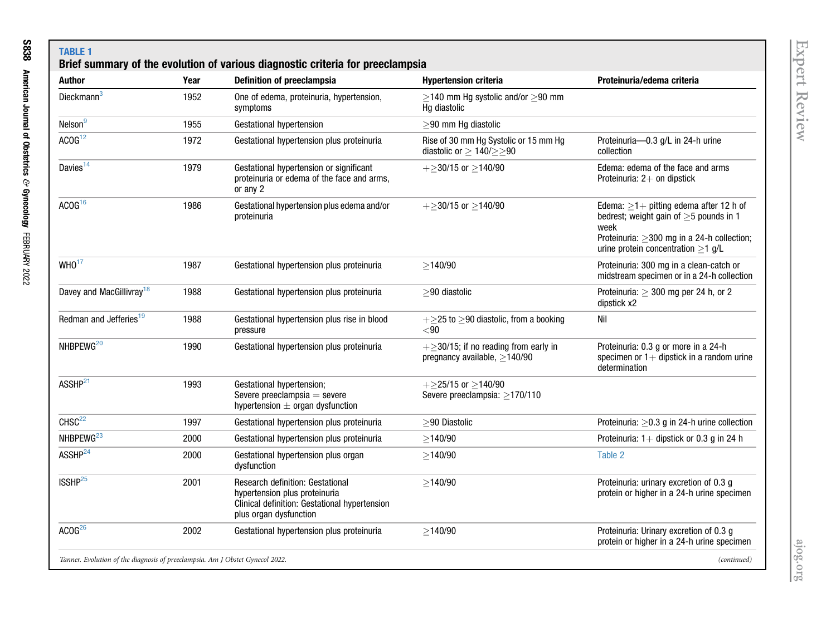<span id="page-3-0"></span>

| <b>Author</b>                        | Year | Definition of preeclampsia                                                                                                                   | <b>Hypertension criteria</b>                                                       | Proteinuria/edema criteria                                                                                                                                                                       |
|--------------------------------------|------|----------------------------------------------------------------------------------------------------------------------------------------------|------------------------------------------------------------------------------------|--------------------------------------------------------------------------------------------------------------------------------------------------------------------------------------------------|
| Dieckmann <sup>3</sup>               | 1952 | One of edema, proteinuria, hypertension,<br>symptoms                                                                                         | $\geq$ 140 mm Hg systolic and/or $\geq$ 90 mm<br>Hq diastolic                      |                                                                                                                                                                                                  |
| Nelson <sup>9</sup>                  | 1955 | Gestational hypertension                                                                                                                     | $\geq$ 90 mm Hg diastolic                                                          |                                                                                                                                                                                                  |
| ACOG <sup>12</sup>                   | 1972 | Gestational hypertension plus proteinuria                                                                                                    | Rise of 30 mm Hg Systolic or 15 mm Hg<br>diastolic or $\geq$ 140/ $\geq$ $\geq$ 90 | Proteinuria-0.3 g/L in 24-h urine<br>collection                                                                                                                                                  |
| Davies $14$                          | 1979 | Gestational hypertension or significant<br>proteinuria or edema of the face and arms,<br>or any 2                                            | $+\geq$ 30/15 or $\geq$ 140/90                                                     | Edema: edema of the face and arms<br>Proteinuria: 2+ on dipstick                                                                                                                                 |
| ACOG <sup>16</sup>                   | 1986 | Gestational hypertension plus edema and/or<br>proteinuria                                                                                    | $+\geq$ 30/15 or $\geq$ 140/90                                                     | Edema: $\geq$ 1+ pitting edema after 12 h of<br>bedrest; weight gain of $>5$ pounds in 1<br>week<br>Proteinuria: $\geq$ 300 mg in a 24-h collection;<br>urine protein concentration $\geq$ 1 g/L |
| WHO <sup>17</sup>                    | 1987 | Gestational hypertension plus proteinuria                                                                                                    | $\geq$ 140/90                                                                      | Proteinuria: 300 mg in a clean-catch or<br>midstream specimen or in a 24-h collection                                                                                                            |
| Davey and MacGillivray <sup>18</sup> | 1988 | Gestational hypertension plus proteinuria                                                                                                    | $>$ 90 diastolic                                                                   | Proteinuria: $\geq$ 300 mg per 24 h, or 2<br>dipstick x2                                                                                                                                         |
| Redman and Jefferies <sup>19</sup>   | 1988 | Gestational hypertension plus rise in blood<br>pressure                                                                                      | $+\geq$ 25 to $\geq$ 90 diastolic, from a booking<br>< 90                          | Nil                                                                                                                                                                                              |
| NHBPEWG <sup>20</sup>                | 1990 | Gestational hypertension plus proteinuria                                                                                                    | $+\geq$ 30/15; if no reading from early in<br>pregnancy available, $\geq$ 140/90   | Proteinuria: 0.3 g or more in a 24-h<br>specimen or $1+$ dipstick in a random urine<br>determination                                                                                             |
| ASSHP <sup>21</sup>                  | 1993 | Gestational hypertension;<br>Severe preeclampsia $=$ severe<br>hypertension $\pm$ organ dysfunction                                          | $+$ >25/15 or >140/90<br>Severe preeclampsia: >170/110                             |                                                                                                                                                                                                  |
| CHSC <sup>22</sup>                   | 1997 | Gestational hypertension plus proteinuria                                                                                                    | $\geq$ 90 Diastolic                                                                | Proteinuria: $\geq$ 0.3 g in 24-h urine collection                                                                                                                                               |
| NHBPEWG <sup>23</sup>                | 2000 | Gestational hypertension plus proteinuria                                                                                                    | $\geq$ 140/90                                                                      | Proteinuria: $1+$ dipstick or 0.3 g in 24 h                                                                                                                                                      |
| ASSHP <sup>24</sup>                  | 2000 | Gestational hypertension plus organ<br>dysfunction                                                                                           | $\geq$ 140/90                                                                      | Table 2                                                                                                                                                                                          |
| ISSHP <sup>25</sup>                  | 2001 | Research definition: Gestational<br>hypertension plus proteinuria<br>Clinical definition: Gestational hypertension<br>plus organ dysfunction | >140/90                                                                            | Proteinuria: urinary excretion of 0.3 g<br>protein or higher in a 24-h urine specimen                                                                                                            |
| ACOG <sup>26</sup>                   | 2002 | Gestational hypertension plus proteinuria                                                                                                    | $\geq$ 140/90                                                                      | Proteinuria: Urinary excretion of 0.3 g<br>protein or higher in a 24-h urine specimen                                                                                                            |

[ajog.org](http://www.AJOG.org)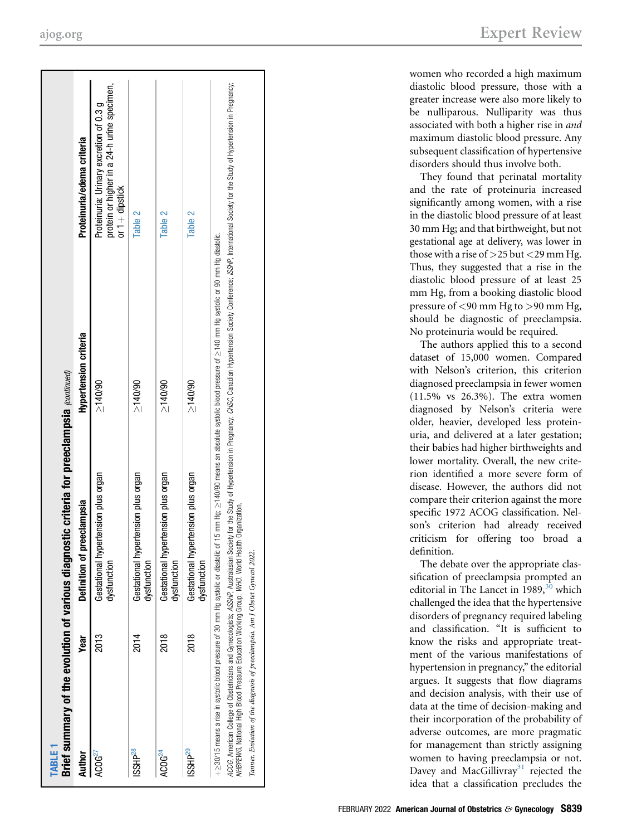| <b>TABLE</b>                                                                                   |             | Brief summary of the evolution of various diagnostic criteria for preeclampsia (continued)                                                                                                                                                                                                                                                                                                                                                    |                       |                                                                                                            |
|------------------------------------------------------------------------------------------------|-------------|-----------------------------------------------------------------------------------------------------------------------------------------------------------------------------------------------------------------------------------------------------------------------------------------------------------------------------------------------------------------------------------------------------------------------------------------------|-----------------------|------------------------------------------------------------------------------------------------------------|
| <b>Author</b>                                                                                  | Year        | of preeclampsia<br><b>Definition</b>                                                                                                                                                                                                                                                                                                                                                                                                          | Hypertension criteria | Proteinuria/edema criteria                                                                                 |
| ACOG <sup>27</sup>                                                                             | 2013        | Gestational hypertension plus organ<br>dysfunction                                                                                                                                                                                                                                                                                                                                                                                            | 5(40/90)              | protein or higher in a 24-h urine specimen,<br>Proteinuria: Urinary excretion of 0.3 g<br>or $1+$ dipstick |
| ISSHP <sup>28</sup>                                                                            | 2014        | Gestational hypertension plus organ<br>dysfunction                                                                                                                                                                                                                                                                                                                                                                                            | 5140/90               | Table 2                                                                                                    |
| ACOG <sup>24</sup>                                                                             | <b>2018</b> | Gestational hypertension plus organ<br>dysfunction                                                                                                                                                                                                                                                                                                                                                                                            | 5140/90               | Table 2                                                                                                    |
| ISSHP <sup>29</sup>                                                                            | <b>2018</b> | Gestational hypertension plus organ<br>dysfunction                                                                                                                                                                                                                                                                                                                                                                                            | $20011 \leq$          | Table 2                                                                                                    |
| WHBPEWG, National High Blood Pressure Education Working Group; WHO, World Health Organization. |             | ACOG, American College of Obstetricians and Gynecologists, ASSHP, Australasts, Australastan Society of Hypertension in Pregnancy; CASC, Canadian Hypertension Society Conference; ISSMP, International Society for the Study o<br>+≥30/15 means a rise in systolic blood pressure of 30 mm Hg systolic or diastolic or diastolic of 15 mm Hg :∑140/90 means an absolute systolic blood pressure of ≥140 mm Hg of astolic. or on Hg diastolic. |                       |                                                                                                            |

Tanner. Evolution of the diagnosis of preeclampsia. Am J Obstet Gynecol 2022.

Tanner. Evolution of the diagnosis of preeclampsia. Am J Obstet Gynecol 2022.

[ajog.org](http://www.AJOG.org) Expert Review

women who recorded a high maximum diastolic blood pressure, those with a greater increase were also more likely to be nulliparous. Nulliparity was thus associated with both a higher rise in and maximum diastolic blood pressure. Any subsequent classi fication of hypertensive disorders should thus involve both.

They found that perinatal mortality and the rate of proteinuria increased signi ficantly among women, with a rise in the diastolic blood pressure of at least 30 mm Hg; and that birthweight, but not gestational age at delivery, was lower in those with a rise of >25 but <29 mm Hg. Thus, they suggested that a rise in the diastolic blood pressure of at least 25 mm Hg, from a booking diastolic blood pressure of <90 mm Hg to >90 mm Hg, should be diagnostic of preeclampsia. No proteinuria would be required.

The authors applied this to a second dataset of 15,000 women. Compared with Nelson 's criterion, this criterion diagnosed preeclampsia in fewer women (11.5% vs 26.3%). The extra women diagnosed by Nelson 's criteria were older, heavier, developed less proteinuria, and delivered at a later gestation; their babies had higher birthweights and lower mortality. Overall, the new criterion identified a more severe form of disease. However, the authors did not compare their criterion against the more specific 1972 ACOG classification. Nelson's criterion had already received criticism for offering too broad a de finition.

The debate over the appropriate classification of preeclampsia prompted an editorial in The Lancet in 1989, $30$  which challenged the idea that the hypertensive disorders of pregnancy required labeling and classi fication. "It is sufficient to know the risks and appropriate treatment of the various manifestations of hypertension in pregnancy," the editorial argues. It suggests that flow diagrams and decision analysis, with their use of data at the time of decision-making and their incorporation of the probability of adverse outcomes, are more pragmatic for management than strictly assigning women to having preeclampsia or not. Davey and MacGillivray<sup>31</sup> rejected the idea that a classi fication precludes the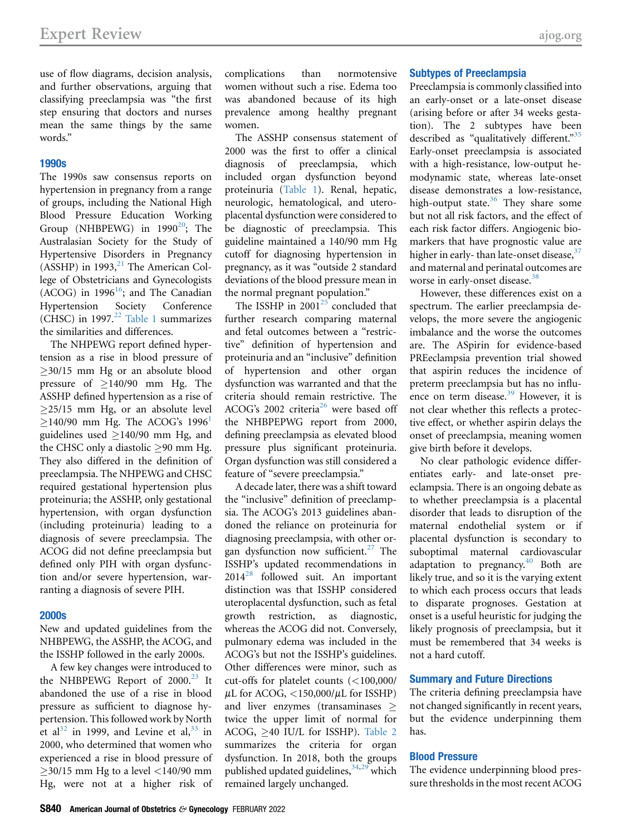use of flow diagrams, decision analysis, and further observations, arguing that classifying preeclampsia was "the first step ensuring that doctors and nurses mean the same things by the same words."

## 1990s

The 1990s saw consensus reports on hypertension in pregnancy from a range of groups, including the National High Blood Pressure Education Working Group (NHBPEWG) in  $1990^{20}$ ; The Australasian Society for the Study of Hypertensive Disorders in Pregnancy (ASSHP) in 1993, $^{21}$  $^{21}$  $^{21}$  The American College of Obstetricians and Gynecologists (ACOG) in 1996 $16$ ; and The Canadian Hypertension Society Conference (CHSC) in 1997. $^{22}$  $^{22}$  $^{22}$  [Table 1](#page-3-0) summarizes the similarities and differences.

The NHPEWG report defined hypertension as a rise in blood pressure of  $\geq$ 30/15 mm Hg or an absolute blood pressure of  $\geq$ 140/90 mm Hg. The ASSHP defined hypertension as a rise of  $>25/15$  mm Hg, or an absolute level  $\geq$ [1](#page-7-0)40/90 mm Hg. The ACOG's 1996<sup>1</sup> guidelines used  $\geq$ 140/90 mm Hg, and the CHSC only a diastolic  $>90$  mm Hg. They also differed in the definition of preeclampsia. The NHPEWG and CHSC required gestational hypertension plus proteinuria; the ASSHP, only gestational hypertension, with organ dysfunction (including proteinuria) leading to a diagnosis of severe preeclampsia. The ACOG did not define preeclampsia but defined only PIH with organ dysfunction and/or severe hypertension, warranting a diagnosis of severe PIH.

#### 2000s

New and updated guidelines from the NHBPEWG, the ASSHP, the ACOG, and the ISSHP followed in the early 2000s.

A few key changes were introduced to the NHBPEWG Report of  $2000.<sup>23</sup>$  $2000.<sup>23</sup>$  $2000.<sup>23</sup>$  It abandoned the use of a rise in blood pressure as sufficient to diagnose hypertension. This followed work by North et al $^{32}$  $^{32}$  $^{32}$  in 1999, and Levine et al $^{33}$  $^{33}$  $^{33}$  in 2000, who determined that women who experienced a rise in blood pressure of  $\geq$ 30/15 mm Hg to a level <140/90 mm Hg, were not at a higher risk of complications than normotensive women without such a rise. Edema too was abandoned because of its high prevalence among healthy pregnant women.

The ASSHP consensus statement of 2000 was the first to offer a clinical diagnosis of preeclampsia, which included organ dysfunction beyond proteinuria ([Table 1](#page-3-0)). Renal, hepatic, neurologic, hematological, and uteroplacental dysfunction were considered to be diagnostic of preeclampsia. This guideline maintained a 140/90 mm Hg cutoff for diagnosing hypertension in pregnancy, as it was "outside 2 standard deviations of the blood pressure mean in the normal pregnant population."

The ISSHP in  $2001^{25}$  $2001^{25}$  $2001^{25}$  concluded that further research comparing maternal and fetal outcomes between a "restrictive" definition of hypertension and proteinuria and an "inclusive" definition of hypertension and other organ dysfunction was warranted and that the criteria should remain restrictive. The ACOG's 2002 criteria<sup>[26](#page-8-26)</sup> were based off the NHBPEPWG report from 2000, defining preeclampsia as elevated blood pressure plus significant proteinuria. Organ dysfunction was still considered a feature of "severe preeclampsia."

A decade later, there was a shift toward the "inclusive" definition of preeclampsia. The ACOG's 2013 guidelines abandoned the reliance on proteinuria for diagnosing preeclampsia, with other organ dysfunction now sufficient. $^{27}$  $^{27}$  $^{27}$  The ISSHP's updated recommendations in  $2014^{28}$  $2014^{28}$  $2014^{28}$  followed suit. An important distinction was that ISSHP considered uteroplacental dysfunction, such as fetal growth restriction, as diagnostic, whereas the ACOG did not. Conversely, pulmonary edema was included in the ACOG's but not the ISSHP's guidelines. Other differences were minor, such as cut-offs for platelet counts (<100,000/  $\mu$ L for ACOG, <150,000/ $\mu$ L for ISSHP) and liver enzymes (transaminases  $\geq$ twice the upper limit of normal for ACOG,  $>40$  IU/L for ISSHP). [Table 2](#page-6-1) summarizes the criteria for organ dysfunction. In 2018, both the groups published updated guidelines, 34[,29](#page-8-18) which remained largely unchanged.

#### Subtypes of Preeclampsia

Preeclampsia is commonly classified into an early-onset or a late-onset disease (arising before or after 34 weeks gestation). The 2 subtypes have been described as "qualitatively different."<sup>[35](#page-8-28)</sup> Early-onset preeclampsia is associated with a high-resistance, low-output hemodynamic state, whereas late-onset disease demonstrates a low-resistance, high-output state. $36$  They share some but not all risk factors, and the effect of each risk factor differs. Angiogenic biomarkers that have prognostic value are higher in early-than late-onset disease, $37$ and maternal and perinatal outcomes are worse in early-onset disease.<sup>[38](#page-8-31)</sup>

However, these differences exist on a spectrum. The earlier preeclampsia develops, the more severe the angiogenic imbalance and the worse the outcomes are. The ASpirin for evidence-based PREeclampsia prevention trial showed that aspirin reduces the incidence of preterm preeclampsia but has no influ-ence on term disease.<sup>[39](#page-8-32)</sup> However, it is not clear whether this reflects a protective effect, or whether aspirin delays the onset of preeclampsia, meaning women give birth before it develops.

No clear pathologic evidence differentiates early- and late-onset preeclampsia. There is an ongoing debate as to whether preeclampsia is a placental disorder that leads to disruption of the maternal endothelial system or if placental dysfunction is secondary to suboptimal maternal cardiovascular adaptation to pregnancy. $40$  Both are likely true, and so it is the varying extent to which each process occurs that leads to disparate prognoses. Gestation at onset is a useful heuristic for judging the likely prognosis of preeclampsia, but it must be remembered that 34 weeks is not a hard cutoff.

#### Summary and Future Directions

The criteria defining preeclampsia have not changed significantly in recent years, but the evidence underpinning them has.

## Blood Pressure

The evidence underpinning blood pressure thresholds in the most recent ACOG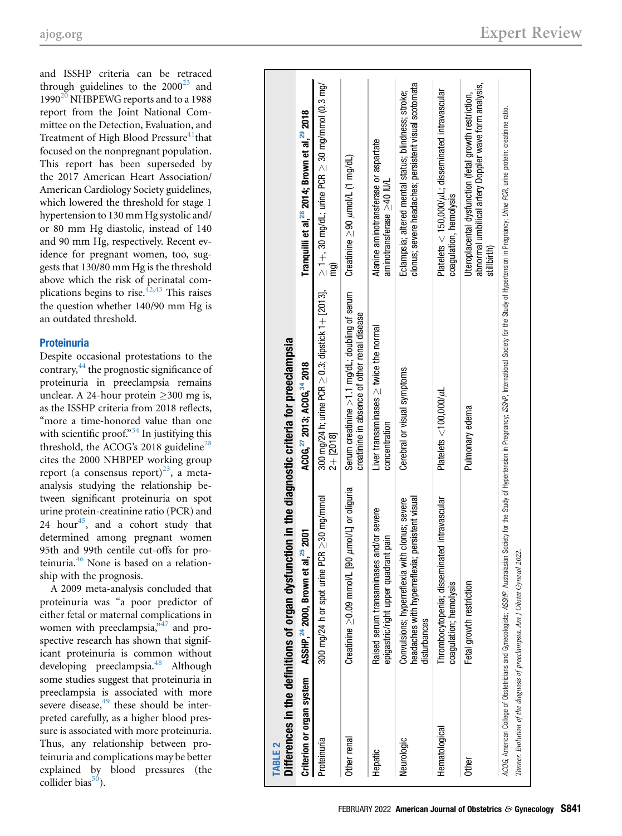and ISSHP criteria can be retraced through guidelines to the  $2000^{23}$  and 1990<sup>[20](#page-8-19)</sup> NHBPEWG reports and to a 1988 report from the Joint National Committee on the Detection, Evaluation, and Treatment of High Blood Pressure<sup>41</sup>that focused on the nonpregnant population. This report has been superseded by the 2017 American Heart Association/ American Cardiology Society guidelines, which lowered the threshold for stage 1 hypertension to 130 mm Hg systolic and/ or 80 mm Hg diastolic, instead of 140 and 90 mm Hg, respectively. Recent evidence for pregnant women, too, suggests that 130/80 mm Hg is the threshold above which the risk of perinatal complications begins to rise.<sup> $42,43$  $42,43$ </sup> This raises the question whether 140/90 mm Hg is an outdated threshold.

# Proteinuria

Despite occasional protestations to the  $contrary<sub>44</sub>$  the prognostic significance of proteinuria in preeclampsia remains unclear. A 24-hour protein  $>300$  mg is, as the ISSHP criteria from 2018 reflects, "more a time-honored value than one with scientific proof." In justifying this threshold, the ACOG's 2018 guideline<sup>[28](#page-8-16)</sup> cites the 2000 NHBPEP working group report (a consensus report)<sup>23</sup>, a metaanalysis studying the relationship between significant proteinuria on spot urine protein-creatinine ratio (PCR) and 24 hour<sup>[45](#page-8-38)</sup>, and a cohort study that determined among pregnant women 95th and 99th centile cut-offs for pro-teinuria.<sup>[46](#page-8-39)</sup> None is based on a relationship with the prognosis.

A 2009 meta-analysis concluded that proteinuria was "a poor predictor of either fetal or maternal complications in women with preeclampsia,"<sup>[47](#page-8-40)</sup> and prospective research has shown that significant proteinuria is common without developing preeclampsia.<sup>[48](#page-8-41)</sup> Although some studies suggest that proteinuria in preeclampsia is associated with more severe disease,  $49$  these should be interpreted carefully, as a higher blood pressure is associated with more proteinuria. Thus, any relationship between proteinuria and complications may be better explained by blood pressures (the collider bias $50$ ).

<span id="page-6-1"></span><span id="page-6-0"></span>

| Criterion or organ system | 2001<br>ASSHP, <sup>24</sup> 2000, Brown et al, <sup>25</sup>                                                     | ACOG, 27 2013; ACOG, 34 2018                                                                     | Tranquilli et al, <sup>22</sup> 2014; Brown et al, <sup>29</sup> 2018                                                         |
|---------------------------|-------------------------------------------------------------------------------------------------------------------|--------------------------------------------------------------------------------------------------|-------------------------------------------------------------------------------------------------------------------------------|
| Proteinuria               | 300 mg/24 h or spot urine PCR $\geq$ 30 mg/mmol                                                                   | 300 mg/24 h; urine PCR $\geq$ 0.3; dipstick 1 + [2013],<br>$2 + [2018]$                          | $\geq$ 1+, 30 mg/dL; urine PCR $\geq$ 30 mg/mmol (0.3 mg/<br>mg)                                                              |
| Other renal               | Creatinine $\geq$ 0.09 mmol/L [90 $\mu$ mol/L] or oliguria                                                        | Serum creatinine $>1.1$ mg/dL; doubling of serum<br>creatinine in absence of other renal disease | Creatinine $\geq$ 90 $\mu$ mol/L (1 mg/dL)                                                                                    |
| Hepatic                   | Raised serum transaminases and/or severe<br>epigastric/right upper quadrant pain                                  | Liver transaminases $\ge$ twice the normal<br>concentration                                      | Alanine aminotransferase or aspartate<br>aminotransferase $\geq$ 40 IU/L                                                      |
| Neurologic                | headaches with hyperreflexia; persistent visual<br>Convulsions; hyperreflexia with clonus; severe<br>disturbances | Cerebral or visual symptoms                                                                      | clonus; severe headaches; persistent visual scotomata<br>Eclampsia; altered mental status; blindness; stroke;                 |
| Hematological             | intravascular<br>Thrombocytopenia; disseminated<br>coagulation; hemolysis                                         | Platelets $<$ 100,000/ $\mu$ L                                                                   | Platelets $<$ 150,000/ $\mu$ L; disseminated intravascular<br>coagulation, hemolysis                                          |
| Other                     | Fetal growth restriction                                                                                          | Pulmonary edema                                                                                  | abnormal umbilical artery Doppler wave form analysis,<br>Uteroplacental dysfunction (fetal growth restriction,<br>stillbirth) |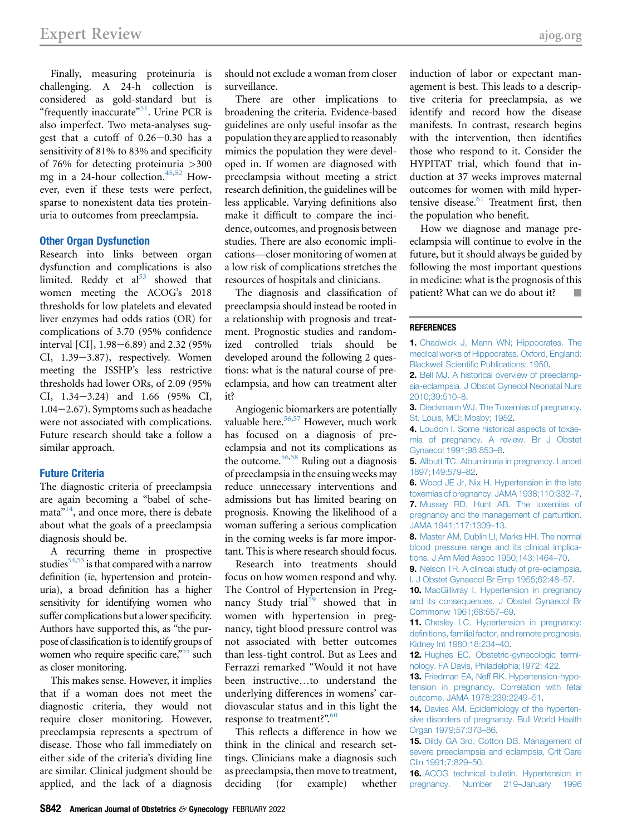Finally, measuring proteinuria is challenging. A 24-h collection is considered as gold-standard but is "frequently inaccurate"<sup>[51](#page-8-44)</sup>. Urine PCR is also imperfect. Two meta-analyses suggest that a cutoff of  $0.26 - 0.30$  has a sensitivity of 81% to 83% and specificity of 76% for detecting proteinuria >300 mg in a 24-hour collection.<sup>[45](#page-8-38),[52](#page-8-45)</sup> However, even if these tests were perfect, sparse to nonexistent data ties proteinuria to outcomes from preeclampsia.

## Other Organ Dysfunction

Research into links between organ dysfunction and complications is also limited. Reddy et  $al<sup>53</sup>$  $al<sup>53</sup>$  $al<sup>53</sup>$  showed that women meeting the ACOG's 2018 thresholds for low platelets and elevated liver enzymes had odds ratios (OR) for complications of 3.70 (95% confidence interval [CI],  $1.98 - 6.89$ ) and  $2.32$  (95% CI, 1.39-3.87), respectively. Women meeting the ISSHP's less restrictive thresholds had lower ORs, of 2.09 (95%  $CI, 1.34-3.24$  and  $1.66$  (95%  $CI,$  $1.04-2.67$ ). Symptoms such as headache were not associated with complications. Future research should take a follow a similar approach.

## <span id="page-7-19"></span>Future Criteria

The diagnostic criteria of preeclampsia are again becoming a "babel of schemata<sup>"14</sup>, and once more, there is debate about what the goals of a preeclampsia diagnosis should be.

A recurring theme in prospective studies $54,55$  $54,55$  is that compared with a narrow definition (ie, hypertension and proteinuria), a broad definition has a higher sensitivity for identifying women who suffer complications but a lower specificity. Authors have supported this, as "the purpose of classification is to identify groups of women who require specific care,"<sup>[55](#page-8-48)</sup> such as closer monitoring.

This makes sense. However, it implies that if a woman does not meet the diagnostic criteria, they would not require closer monitoring. However, preeclampsia represents a spectrum of disease. Those who fall immediately on either side of the criteria's dividing line are similar. Clinical judgment should be applied, and the lack of a diagnosis should not exclude a woman from closer surveillance.

There are other implications to broadening the criteria. Evidence-based guidelines are only useful insofar as the population they are applied to reasonably mimics the population they were developed in. If women are diagnosed with preeclampsia without meeting a strict research definition, the guidelines will be less applicable. Varying definitions also make it difficult to compare the incidence, outcomes, and prognosis between studies. There are also economic implications—closer monitoring of women at a low risk of complications stretches the resources of hospitals and clinicians.

The diagnosis and classification of preeclampsia should instead be rooted in a relationship with prognosis and treatment. Prognostic studies and randomized controlled trials should be developed around the following 2 questions: what is the natural course of preeclampsia, and how can treatment alter it?

<span id="page-7-18"></span><span id="page-7-17"></span><span id="page-7-16"></span>Angiogenic biomarkers are potentially valuable here.<sup>[56,](#page-8-49)[57](#page-8-50)</sup> However, much work has focused on a diagnosis of preeclampsia and not its complications as the outcome.[56](#page-8-49)[,58](#page-8-51) Ruling out a diagnosis of preeclampsia in the ensuing weeks may reduce unnecessary interventions and admissions but has limited bearing on prognosis. Knowing the likelihood of a woman suffering a serious complication in the coming weeks is far more important. This is where research should focus.

Research into treatments should focus on how women respond and why. The Control of Hypertension in Preg-nancy Study trial<sup>[59](#page-8-52)</sup> showed that in women with hypertension in pregnancy, tight blood pressure control was not associated with better outcomes than less-tight control. But as Lees and Ferrazzi remarked "Would it not have been instructive...to understand the underlying differences in womens' cardiovascular status and in this light the response to treatment?".<sup>[60](#page-8-53)</sup>

This reflects a difference in how we think in the clinical and research settings. Clinicians make a diagnosis such as preeclampsia, then move to treatment, deciding (for example) whether

induction of labor or expectant management is best. This leads to a descriptive criteria for preeclampsia, as we identify and record how the disease manifests. In contrast, research begins with the intervention, then identifies those who respond to it. Consider the HYPITAT trial, which found that induction at 37 weeks improves maternal outcomes for women with mild hypertensive disease. $61$  Treatment first, then the population who benefit.

How we diagnose and manage preeclampsia will continue to evolve in the future, but it should always be guided by following the most important questions in medicine: what is the prognosis of this patient? What can we do about it?

#### <span id="page-7-0"></span>**REFERENCES**

1. [Chadwick J, Mann WN; Hippocrates. The](http://refhub.elsevier.com/S0002-9378(21)02631-4/sref1) [medical works of Hippocrates. Oxford, England:](http://refhub.elsevier.com/S0002-9378(21)02631-4/sref1) Blackwell Scientifi[c Publications; 1950](http://refhub.elsevier.com/S0002-9378(21)02631-4/sref1).

- <span id="page-7-1"></span>2. [Bell MJ. A historical overview of preeclamp](http://refhub.elsevier.com/S0002-9378(21)02631-4/sref2)[sia-eclampsia. J Obstet Gynecol Neonatal Nurs](http://refhub.elsevier.com/S0002-9378(21)02631-4/sref2) [2010;39:510](http://refhub.elsevier.com/S0002-9378(21)02631-4/sref2)–8.
- <span id="page-7-15"></span><span id="page-7-3"></span><span id="page-7-2"></span>3. [Dieckmann WJ. The Toxemias of pregnancy.](http://refhub.elsevier.com/S0002-9378(21)02631-4/sref3) [St. Louis, MO: Mosby; 1952](http://refhub.elsevier.com/S0002-9378(21)02631-4/sref3).
- 4. [Loudon I. Some historical aspects of toxae](http://refhub.elsevier.com/S0002-9378(21)02631-4/sref4)[mia of pregnancy. A review. Br J Obstet](http://refhub.elsevier.com/S0002-9378(21)02631-4/sref4) [Gynaecol 1991;98:853](http://refhub.elsevier.com/S0002-9378(21)02631-4/sref4)–8.
- <span id="page-7-4"></span>5. [Allbutt TC. Albuminuria in pregnancy. Lancet](http://refhub.elsevier.com/S0002-9378(21)02631-4/sref5) [1897;149:579](http://refhub.elsevier.com/S0002-9378(21)02631-4/sref5)–82.
- <span id="page-7-5"></span>6. [Wood JE Jr, Nix H. Hypertension in the late](http://refhub.elsevier.com/S0002-9378(21)02631-4/sref6) [toxemias of pregnancy. JAMA 1938;110:332](http://refhub.elsevier.com/S0002-9378(21)02631-4/sref6)–7.

<span id="page-7-6"></span>7. [Mussey RD, Hunt AB. The toxemias of](http://refhub.elsevier.com/S0002-9378(21)02631-4/sref7) [pregnancy and the management of parturition.](http://refhub.elsevier.com/S0002-9378(21)02631-4/sref7) [JAMA 1941;117:1309](http://refhub.elsevier.com/S0002-9378(21)02631-4/sref7)–13.

<span id="page-7-7"></span>8. [Master AM, Dublin LI, Marks HH. The normal](http://refhub.elsevier.com/S0002-9378(21)02631-4/sref8) [blood pressure range and its clinical implica](http://refhub.elsevier.com/S0002-9378(21)02631-4/sref8)[tions. J Am Med Assoc 1950;143:1464](http://refhub.elsevier.com/S0002-9378(21)02631-4/sref8)–70.

<span id="page-7-8"></span>9. [Nelson TR. A clinical study of pre-eclampsia.](http://refhub.elsevier.com/S0002-9378(21)02631-4/sref9) [I. J Obstet Gynaecol Br Emp 1955;62:48](http://refhub.elsevier.com/S0002-9378(21)02631-4/sref9)–57.

<span id="page-7-9"></span>10. [MacGillivray I. Hypertension in pregnancy](http://refhub.elsevier.com/S0002-9378(21)02631-4/sref10) [and its consequences. J Obstet Gynaecol Br](http://refhub.elsevier.com/S0002-9378(21)02631-4/sref10) [Commonw 1961;68:557](http://refhub.elsevier.com/S0002-9378(21)02631-4/sref10)–69.

<span id="page-7-10"></span>11. [Chesley LC. Hypertension in pregnancy:](http://refhub.elsevier.com/S0002-9378(21)02631-4/sref11) defi[nitions, familial factor, and remote prognosis.](http://refhub.elsevier.com/S0002-9378(21)02631-4/sref11) [Kidney Int 1980;18:234](http://refhub.elsevier.com/S0002-9378(21)02631-4/sref11)–40.

<span id="page-7-12"></span><span id="page-7-11"></span>12. [Hughes EC. Obstetric-gynecologic termi](http://refhub.elsevier.com/S0002-9378(21)02631-4/sref12)[nology. FA Davis, Philadelphia;1972: 422.](http://refhub.elsevier.com/S0002-9378(21)02631-4/sref12)

13. [Friedman EA, Neff RK. Hypertension-hypo](http://refhub.elsevier.com/S0002-9378(21)02631-4/sref13)[tension in pregnancy. Correlation with fetal](http://refhub.elsevier.com/S0002-9378(21)02631-4/sref13) [outcome. JAMA 1978;239:2249](http://refhub.elsevier.com/S0002-9378(21)02631-4/sref13)–51.

<span id="page-7-13"></span>14. [Davies AM. Epidemiology of the hyperten](http://refhub.elsevier.com/S0002-9378(21)02631-4/sref14)[sive disorders of pregnancy. Bull World Health](http://refhub.elsevier.com/S0002-9378(21)02631-4/sref14) [Organ 1979;57:373](http://refhub.elsevier.com/S0002-9378(21)02631-4/sref14)–86.

<span id="page-7-14"></span>15. [Dildy GA 3rd, Cotton DB. Management of](http://refhub.elsevier.com/S0002-9378(21)02631-4/sref15) [severe preeclampsia and eclampsia. Crit Care](http://refhub.elsevier.com/S0002-9378(21)02631-4/sref15) [Clin 1991;7:829](http://refhub.elsevier.com/S0002-9378(21)02631-4/sref15)–50.

<span id="page-7-20"></span>16. [ACOG technical bulletin. Hypertension in](http://refhub.elsevier.com/S0002-9378(21)02631-4/sref23) [pregnancy. Number 219](http://refhub.elsevier.com/S0002-9378(21)02631-4/sref23)–January 1996